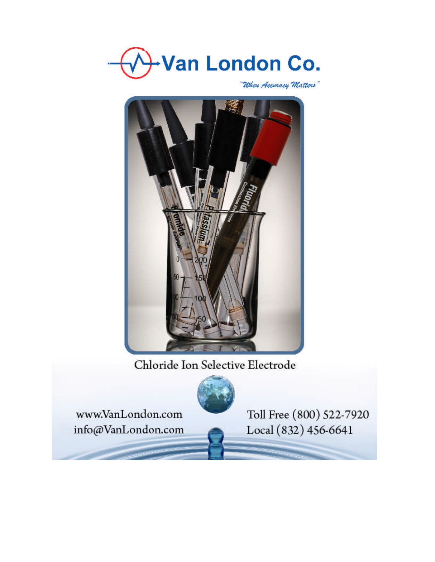

"When Accuracy Matters"



Chloride Ion Selective Electrode



www.VanLondon.com info@VanLondon.com Toll Free (800) 522-7920 Local (832) 456-6641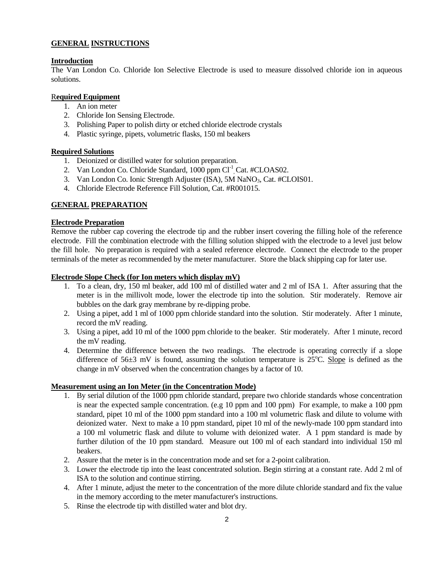# **GENERAL INSTRUCTIONS**

# **Introduction**

The Van London Co. Chloride Ion Selective Electrode is used to measure dissolved chloride ion in aqueous solutions.

## R**equired Equipment**

- 1. An ion meter
- 2. Chloride Ion Sensing Electrode.
- 3. Polishing Paper to polish dirty or etched chloride electrode crystals
- 4. Plastic syringe, pipets, volumetric flasks, 150 ml beakers

### **Required Solutions**

- 1. Deionized or distilled water for solution preparation.
- 2. Van London Co. Chloride Standard, 1000 ppm Cl<sup>-1</sup>, Cat. #CLOAS02.
- 3. Van London Co. Ionic Strength Adjuster (ISA), 5M NaNO<sub>3</sub>, Cat. #CLOIS01.
- 4. Chloride Electrode Reference Fill Solution, Cat. #R001015.

# **GENERAL PREPARATION**

### **Electrode Preparation**

Remove the rubber cap covering the electrode tip and the rubber insert covering the filling hole of the reference electrode. Fill the combination electrode with the filling solution shipped with the electrode to a level just below the fill hole. No preparation is required with a sealed reference electrode. Connect the electrode to the proper terminals of the meter as recommended by the meter manufacturer. Store the black shipping cap for later use.

### **Electrode Slope Check (for Ion meters which display mV)**

- 1. To a clean, dry, 150 ml beaker, add 100 ml of distilled water and 2 ml of ISA 1. After assuring that the meter is in the millivolt mode, lower the electrode tip into the solution. Stir moderately. Remove air bubbles on the dark gray membrane by re-dipping probe.
- 2. Using a pipet, add 1 ml of 1000 ppm chloride standard into the solution. Stir moderately. After 1 minute, record the mV reading.
- 3. Using a pipet, add 10 ml of the 1000 ppm chloride to the beaker. Stir moderately. After 1 minute, record the mV reading.
- 4. Determine the difference between the two readings. The electrode is operating correctly if a slope difference of  $56\pm3$  mV is found, assuming the solution temperature is  $25^{\circ}$ C. Slope is defined as the change in mV observed when the concentration changes by a factor of 10.

#### **Measurement using an Ion Meter (in the Concentration Mode)**

- 1. By serial dilution of the 1000 ppm chloride standard, prepare two chloride standards whose concentration is near the expected sample concentration. (e.g 10 ppm and 100 ppm) For example, to make a 100 ppm standard, pipet 10 ml of the 1000 ppm standard into a 100 ml volumetric flask and dilute to volume with deionized water. Next to make a 10 ppm standard, pipet 10 ml of the newly-made 100 ppm standard into a 100 ml volumetric flask and dilute to volume with deionized water. A 1 ppm standard is made by further dilution of the 10 ppm standard. Measure out 100 ml of each standard into individual 150 ml beakers.
- 2. Assure that the meter is in the concentration mode and set for a 2-point calibration.
- 3. Lower the electrode tip into the least concentrated solution. Begin stirring at a constant rate. Add 2 ml of ISA to the solution and continue stirring.
- 4. After 1 minute, adjust the meter to the concentration of the more dilute chloride standard and fix the value in the memory according to the meter manufacturer's instructions.
- 5. Rinse the electrode tip with distilled water and blot dry.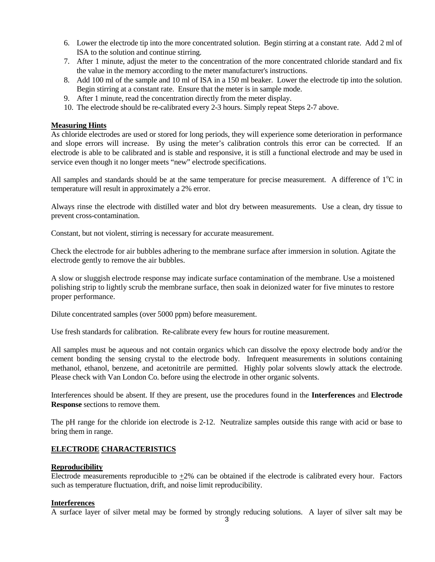- 6. Lower the electrode tip into the more concentrated solution. Begin stirring at a constant rate. Add 2 ml of ISA to the solution and continue stirring.
- 7. After 1 minute, adjust the meter to the concentration of the more concentrated chloride standard and fix the value in the memory according to the meter manufacturer's instructions.
- 8. Add 100 ml of the sample and 10 ml of ISA in a 150 ml beaker. Lower the electrode tip into the solution. Begin stirring at a constant rate. Ensure that the meter is in sample mode.
- 9. After 1 minute, read the concentration directly from the meter display.
- 10. The electrode should be re-calibrated every 2-3 hours. Simply repeat Steps 2-7 above.

# **Measuring Hints**

As chloride electrodes are used or stored for long periods, they will experience some deterioration in performance and slope errors will increase. By using the meter's calibration controls this error can be corrected. If an electrode is able to be calibrated and is stable and responsive, it is still a functional electrode and may be used in service even though it no longer meets "new" electrode specifications.

All samples and standards should be at the same temperature for precise measurement. A difference of  $1^{\circ}C$  in temperature will result in approximately a 2% error.

Always rinse the electrode with distilled water and blot dry between measurements. Use a clean, dry tissue to prevent cross-contamination.

Constant, but not violent, stirring is necessary for accurate measurement.

Check the electrode for air bubbles adhering to the membrane surface after immersion in solution. Agitate the electrode gently to remove the air bubbles.

A slow or sluggish electrode response may indicate surface contamination of the membrane. Use a moistened polishing strip to lightly scrub the membrane surface, then soak in deionized water for five minutes to restore proper performance.

Dilute concentrated samples (over 5000 ppm) before measurement.

Use fresh standards for calibration. Re-calibrate every few hours for routine measurement.

All samples must be aqueous and not contain organics which can dissolve the epoxy electrode body and/or the cement bonding the sensing crystal to the electrode body. Infrequent measurements in solutions containing methanol, ethanol, benzene, and acetonitrile are permitted. Highly polar solvents slowly attack the electrode. Please check with Van London Co. before using the electrode in other organic solvents.

Interferences should be absent. If they are present, use the procedures found in the **Interferences** and **Electrode Response** sections to remove them.

The pH range for the chloride ion electrode is 2-12. Neutralize samples outside this range with acid or base to bring them in range.

# **ELECTRODE CHARACTERISTICS**

#### **Reproducibility**

Electrode measurements reproducible to +2% can be obtained if the electrode is calibrated every hour. Factors such as temperature fluctuation, drift, and noise limit reproducibility.

#### **Interferences**

A surface layer of silver metal may be formed by strongly reducing solutions. A layer of silver salt may be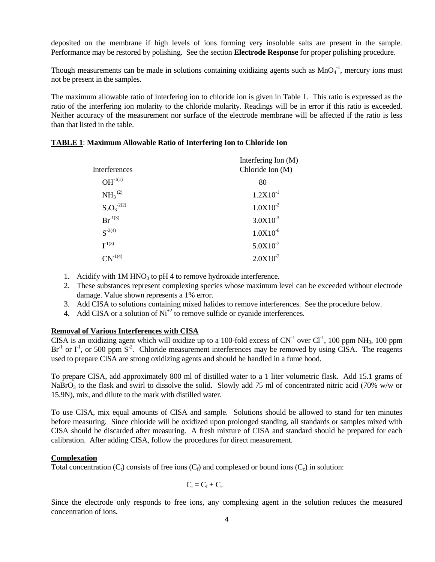deposited on the membrane if high levels of ions forming very insoluble salts are present in the sample. Performance may be restored by polishing. See the section **Electrode Response** for proper polishing procedure.

Though measurements can be made in solutions containing oxidizing agents such as  $MnO<sub>4</sub><sup>-1</sup>$ , mercury ions must not be present in the samples.

The maximum allowable ratio of interfering ion to chloride ion is given in Table 1. This ratio is expressed as the ratio of the interfering ion molarity to the chloride molarity. Readings will be in error if this ratio is exceeded. Neither accuracy of the measurement nor surface of the electrode membrane will be affected if the ratio is less than that listed in the table.

| Interferences    | Interfering Ion $(M)$<br>Chloride Ion (M) |
|------------------|-------------------------------------------|
| $OH-1(1)$        | 80                                        |
| $NH_3^{(2)}$     | $1.2X10^{-1}$                             |
| $S_2O_3^{-2(2)}$ | $1.0X10^{-2}$                             |
| $Br^{-1(3)}$     | $3.0X10^{-3}$                             |
| $S^{-2(4)}$      | $1.0X10^{-6}$                             |
| $I^{-1(3)}$      | $5.0X10^{-7}$                             |

 $CN^{-1(4)}$  2.0X10<sup>-7</sup>

## **TABLE 1**: **Maximum Allowable Ratio of Interfering Ion to Chloride Ion**

- 1. Acidify with  $1M HNO<sub>3</sub>$  to pH 4 to remove hydroxide interference.
- 2. These substances represent complexing species whose maximum level can be exceeded without electrode damage. Value shown represents a 1% error.
- 3. Add CISA to solutions containing mixed halides to remove interferences. See the procedure below.
- 4. Add CISA or a solution of  $Ni<sup>+2</sup>$  to remove sulfide or cyanide interferences.

# **Removal of Various Interferences with CISA**

CISA is an oxidizing agent which will oxidize up to a 100-fold excess of  $CN^{-1}$  over  $Cl^{-1}$ , 100 ppm NH<sub>3</sub>, 100 ppm  $Br^{-1}$  or  $I^1$ , or 500 ppm  $S^{-2}$ . Chloride measurement interferences may be removed by using CISA. The reagents used to prepare CISA are strong oxidizing agents and should be handled in a fume hood.

To prepare CISA, add approximately 800 ml of distilled water to a 1 liter volumetric flask. Add 15.1 grams of NaBrO<sub>3</sub> to the flask and swirl to dissolve the solid. Slowly add 75 ml of concentrated nitric acid (70% w/w or 15.9N), mix, and dilute to the mark with distilled water.

To use CISA, mix equal amounts of CISA and sample. Solutions should be allowed to stand for ten minutes before measuring. Since chloride will be oxidized upon prolonged standing, all standards or samples mixed with CISA should be discarded after measuring. A fresh mixture of CISA and standard should be prepared for each calibration. After adding CISA, follow the procedures for direct measurement.

#### **Complexation**

Total concentration  $(C_t)$  consists of free ions  $(C_f)$  and complexed or bound ions  $(C_c)$  in solution:

$$
C_t = C_f + C_c
$$

Since the electrode only responds to free ions, any complexing agent in the solution reduces the measured concentration of ions.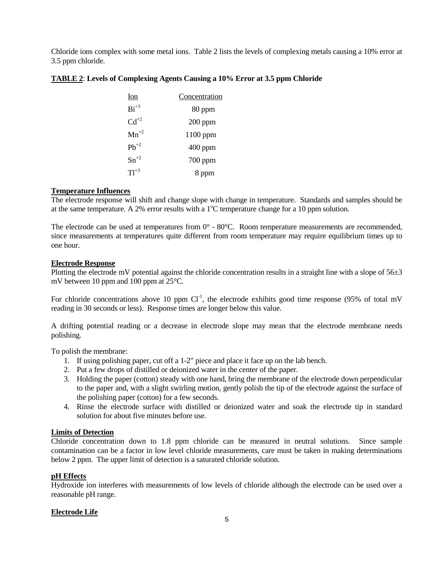Chloride ions complex with some metal ions. Table 2 lists the levels of complexing metals causing a 10% error at 3.5 ppm chloride.

| Ion       | Concentration |
|-----------|---------------|
| $Bi^{+3}$ | 80 ppm        |
| $Cd^{+2}$ | $200$ ppm     |
| $Mn^{+2}$ | $1100$ ppm    |
| $Pb^{+2}$ | $400$ ppm     |
| $Sn^{+2}$ | 700 ppm       |
| $T1^{+3}$ | 8 ppm         |

## **TABLE 2**: **Levels of Complexing Agents Causing a 10% Error at 3.5 ppm Chloride**

## **Temperature Influences**

The electrode response will shift and change slope with change in temperature. Standards and samples should be at the same temperature. A 2% error results with a  $1^{\circ}$ C temperature change for a 10 ppm solution.

The electrode can be used at temperatures from  $0^{\circ}$  - 80 $^{\circ}$ C. Room temperature measurements are recommended, since measurements at temperatures quite different from room temperature may require equilibrium times up to one hour.

#### **Electrode Response**

Plotting the electrode mV potential against the chloride concentration results in a straight line with a slope of  $56±3$ mV between 10 ppm and 100 ppm at 25°C.

For chloride concentrations above 10 ppm  $Cl<sup>-1</sup>$ , the electrode exhibits good time response (95% of total mV reading in 30 seconds or less). Response times are longer below this value.

A drifting potential reading or a decrease in electrode slope may mean that the electrode membrane needs polishing.

To polish the membrane:

- 1. If using polishing paper, cut off a 1-2" piece and place it face up on the lab bench.
- 2. Put a few drops of distilled or deionized water in the center of the paper.
- 3. Holding the paper (cotton) steady with one hand, bring the membrane of the electrode down perpendicular to the paper and, with a slight swirling motion, gently polish the tip of the electrode against the surface of the polishing paper (cotton) for a few seconds.
- 4. Rinse the electrode surface with distilled or deionized water and soak the electrode tip in standard solution for about five minutes before use.

#### **Limits of Detection**

Chloride concentration down to 1.8 ppm chloride can be measured in neutral solutions. Since sample contamination can be a factor in low level chloride measurements, care must be taken in making determinations below 2 ppm. The upper limit of detection is a saturated chloride solution.

# **pH Effects**

Hydroxide ion interferes with measurements of low levels of chloride although the electrode can be used over a reasonable pH range.

# **Electrode Life**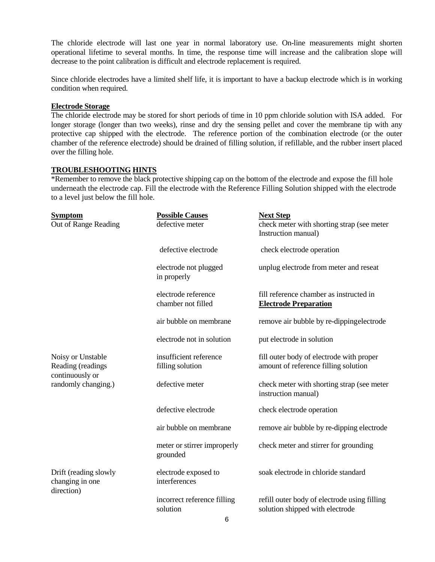The chloride electrode will last one year in normal laboratory use. On-line measurements might shorten operational lifetime to several months. In time, the response time will increase and the calibration slope will decrease to the point calibration is difficult and electrode replacement is required.

Since chloride electrodes have a limited shelf life, it is important to have a backup electrode which is in working condition when required.

#### **Electrode Storage**

The chloride electrode may be stored for short periods of time in 10 ppm chloride solution with ISA added. For longer storage (longer than two weeks), rinse and dry the sensing pellet and cover the membrane tip with any protective cap shipped with the electrode. The reference portion of the combination electrode (or the outer chamber of the reference electrode) should be drained of filling solution, if refillable, and the rubber insert placed over the filling hole.

# **TROUBLESHOOTING HINTS**

\*Remember to remove the black protective shipping cap on the bottom of the electrode and expose the fill hole underneath the electrode cap. Fill the electrode with the Reference Filling Solution shipped with the electrode to a level just below the fill hole.

| <b>Symptom</b><br>Out of Range Reading                                           | <b>Possible Causes</b><br>defective meter  | <b>Next Step</b><br>check meter with shorting strap (see meter<br>Instruction manual) |
|----------------------------------------------------------------------------------|--------------------------------------------|---------------------------------------------------------------------------------------|
|                                                                                  | defective electrode                        | check electrode operation                                                             |
|                                                                                  | electrode not plugged<br>in properly       | unplug electrode from meter and reseat                                                |
|                                                                                  | electrode reference<br>chamber not filled  | fill reference chamber as instructed in<br><b>Electrode Preparation</b>               |
|                                                                                  | air bubble on membrane                     | remove air bubble by re-dippingelectrode                                              |
|                                                                                  | electrode not in solution                  | put electrode in solution                                                             |
| Noisy or Unstable<br>Reading (readings<br>continuously or<br>randomly changing.) | insufficient reference<br>filling solution | fill outer body of electrode with proper<br>amount of reference filling solution      |
|                                                                                  | defective meter                            | check meter with shorting strap (see meter<br>instruction manual)                     |
|                                                                                  | defective electrode                        | check electrode operation                                                             |
|                                                                                  | air bubble on membrane                     | remove air bubble by re-dipping electrode                                             |
|                                                                                  | meter or stirrer improperly<br>grounded    | check meter and stirrer for grounding                                                 |
| Drift (reading slowly<br>changing in one<br>direction)                           | electrode exposed to<br>interferences      | soak electrode in chloride standard                                                   |
|                                                                                  | incorrect reference filling<br>solution    | refill outer body of electrode using filling<br>solution shipped with electrode       |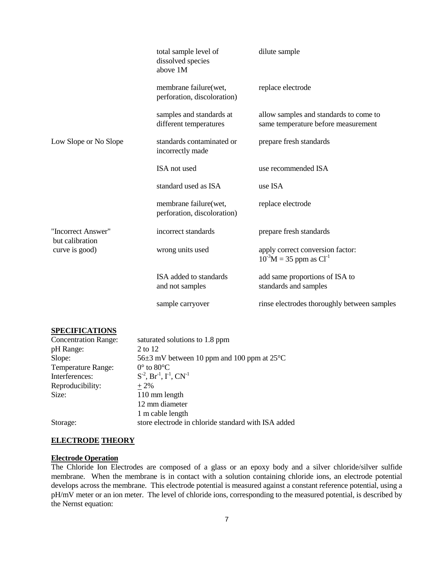|                                                         | total sample level of<br>dissolved species<br>above 1M | dilute sample                                                                 |
|---------------------------------------------------------|--------------------------------------------------------|-------------------------------------------------------------------------------|
|                                                         | membrane failure(wet,<br>perforation, discoloration)   | replace electrode                                                             |
|                                                         | samples and standards at<br>different temperatures     | allow samples and standards to come to<br>same temperature before measurement |
| Low Slope or No Slope                                   | standards contaminated or<br>incorrectly made          | prepare fresh standards                                                       |
|                                                         | ISA not used                                           | use recommended ISA                                                           |
|                                                         | standard used as ISA                                   | use ISA                                                                       |
|                                                         | membrane failure(wet,<br>perforation, discoloration)   | replace electrode                                                             |
| "Incorrect Answer"<br>but calibration<br>curve is good) | incorrect standards                                    | prepare fresh standards                                                       |
|                                                         | wrong units used                                       | apply correct conversion factor:<br>$10^{-3}M = 35$ ppm as Cl <sup>-1</sup>   |
|                                                         | ISA added to standards<br>and not samples              | add same proportions of ISA to<br>standards and samples                       |
|                                                         | sample carryover                                       | rinse electrodes thoroughly between samples                                   |

# **SPECIFICATIONS**

| <b>Concentration Range:</b> | saturated solutions to 1.8 ppm                                  |
|-----------------------------|-----------------------------------------------------------------|
| pH Range:                   | 2 to 12                                                         |
| Slope:                      | 56 $\pm$ 3 mV between 10 ppm and 100 ppm at 25 $\rm{^{\circ}C}$ |
| <b>Temperature Range:</b>   | $0^\circ$ to $80^\circ$ C                                       |
| Interferences:              | $S^2$ , Br <sup>-1</sup> , $\Gamma^1$ , CN <sup>-1</sup>        |
| Reproducibility:            | $+2\%$                                                          |
| Size:                       | 110 mm length                                                   |
|                             | 12 mm diameter                                                  |
|                             | 1 m cable length                                                |
| Storage:                    | store electrode in chloride standard with ISA added             |

# **ELECTRODE THEORY**

# **Electrode Operation**

The Chloride Ion Electrodes are composed of a glass or an epoxy body and a silver chloride/silver sulfide membrane. When the membrane is in contact with a solution containing chloride ions, an electrode potential develops across the membrane. This electrode potential is measured against a constant reference potential, using a pH/mV meter or an ion meter. The level of chloride ions, corresponding to the measured potential, is described by the Nernst equation: